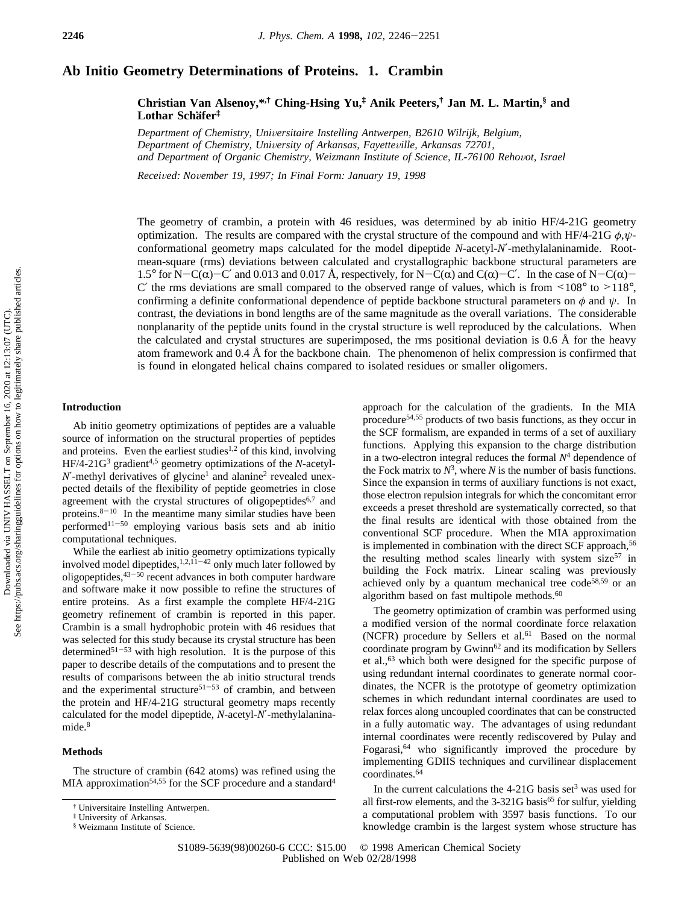# **Ab Initio Geometry Determinations of Proteins. 1. Crambin**

**Christian Van Alsenoy,\*,† Ching-Hsing Yu,‡ Anik Peeters,† Jan M. L. Martin,§ and Lothar Scha**1**fer‡**

*Department of Chemistry, Uni*V*ersitaire Instelling Antwerpen, B2610 Wilrijk, Belgium, Department of Chemistry, Uni*V*ersity of Arkansas, Fayette*V*ille, Arkansas 72701,* and Department of Organic Chemistry, Weizmann Institute of Science, IL-76100 Rehovot, Israel

*Recei*V*ed: No*V*ember 19, 1997; In Final Form: January 19, 1998*

The geometry of crambin, a protein with 46 residues, was determined by ab initio HF/4-21G geometry optimization. The results are compared with the crystal structure of the compound and with HF/4-21G *φ*,*ψ*conformational geometry maps calculated for the model dipeptide *N*-acetyl-*N*′-methylalaninamide. Rootmean-square (rms) deviations between calculated and crystallographic backbone structural parameters are 1.5° for N-C( $\alpha$ )-C' and 0.013 and 0.017 Å, respectively, for N-C( $\alpha$ ) and C( $\alpha$ )-C'. In the case of N-C( $\alpha$ )-C' the rms deviations are small compared to the observed range of values, which is from  $\leq 108^\circ$  to  $>118^\circ$ , confirming a definite conformational dependence of peptide backbone structural parameters on  $\phi$  and  $\psi$ . In contrast, the deviations in bond lengths are of the same magnitude as the overall variations. The considerable nonplanarity of the peptide units found in the crystal structure is well reproduced by the calculations. When the calculated and crystal structures are superimposed, the rms positional deviation is 0.6 Å for the heavy atom framework and 0.4 Å for the backbone chain. The phenomenon of helix compression is confirmed that is found in elongated helical chains compared to isolated residues or smaller oligomers.

### **Introduction**

Ab initio geometry optimizations of peptides are a valuable source of information on the structural properties of peptides and proteins. Even the earliest studies<sup>1,2</sup> of this kind, involving HF/4-21G3 gradient4,5 geometry optimizations of the *N*-acetyl- $N'$ -methyl derivatives of glycine<sup>1</sup> and alanine<sup>2</sup> revealed unexpected details of the flexibility of peptide geometries in close agreement with the crystal structures of oligopeptides<sup>6,7</sup> and proteins. $8-10$  In the meantime many similar studies have been performed $11-50$  employing various basis sets and ab initio computational techniques.

While the earliest ab initio geometry optimizations typically involved model dipeptides,  $1,2,11-42$  only much later followed by oligopeptides,  $43-50$  recent advances in both computer hardware and software make it now possible to refine the structures of entire proteins. As a first example the complete HF/4-21G geometry refinement of crambin is reported in this paper. Crambin is a small hydrophobic protein with 46 residues that was selected for this study because its crystal structure has been determined<sup>51-53</sup> with high resolution. It is the purpose of this paper to describe details of the computations and to present the results of comparisons between the ab initio structural trends and the experimental structure<sup>51-53</sup> of crambin, and between the protein and HF/4-21G structural geometry maps recently calculated for the model dipeptide, *N*-acetyl-*N*′-methylalaninamide.<sup>8</sup>

#### **Methods**

The structure of crambin (642 atoms) was refined using the MIA approximation<sup>54,55</sup> for the SCF procedure and a standard<sup>4</sup> approach for the calculation of the gradients. In the MIA procedure54,55 products of two basis functions, as they occur in the SCF formalism, are expanded in terms of a set of auxiliary functions. Applying this expansion to the charge distribution in a two-electron integral reduces the formal  $N<sup>4</sup>$  dependence of the Fock matrix to  $N^3$ , where *N* is the number of basis functions. Since the expansion in terms of auxiliary functions is not exact, those electron repulsion integrals for which the concomitant error exceeds a preset threshold are systematically corrected, so that the final results are identical with those obtained from the conventional SCF procedure. When the MIA approximation is implemented in combination with the direct SCF approach,<sup>56</sup> the resulting method scales linearly with system size<sup>57</sup> in building the Fock matrix. Linear scaling was previously achieved only by a quantum mechanical tree  $code^{58,59}$  or an algorithm based on fast multipole methods. $60$ 

The geometry optimization of crambin was performed using a modified version of the normal coordinate force relaxation (NCFR) procedure by Sellers et al.<sup>61</sup> Based on the normal coordinate program by Gwinn<sup>62</sup> and its modification by Sellers et al.,63 which both were designed for the specific purpose of using redundant internal coordinates to generate normal coordinates, the NCFR is the prototype of geometry optimization schemes in which redundant internal coordinates are used to relax forces along uncoupled coordinates that can be constructed in a fully automatic way. The advantages of using redundant internal coordinates were recently rediscovered by Pulay and Fogarasi,64 who significantly improved the procedure by implementing GDIIS techniques and curvilinear displacement coordinates.64

In the current calculations the  $4-21G$  basis set<sup>3</sup> was used for all first-row elements, and the  $3-321G$  basis<sup>65</sup> for sulfur, yielding a computational problem with 3597 basis functions. To our knowledge crambin is the largest system whose structure has

<sup>†</sup> Universitaire Instelling Antwerpen.

<sup>‡</sup> University of Arkansas.

<sup>§</sup> Weizmann Institute of Science.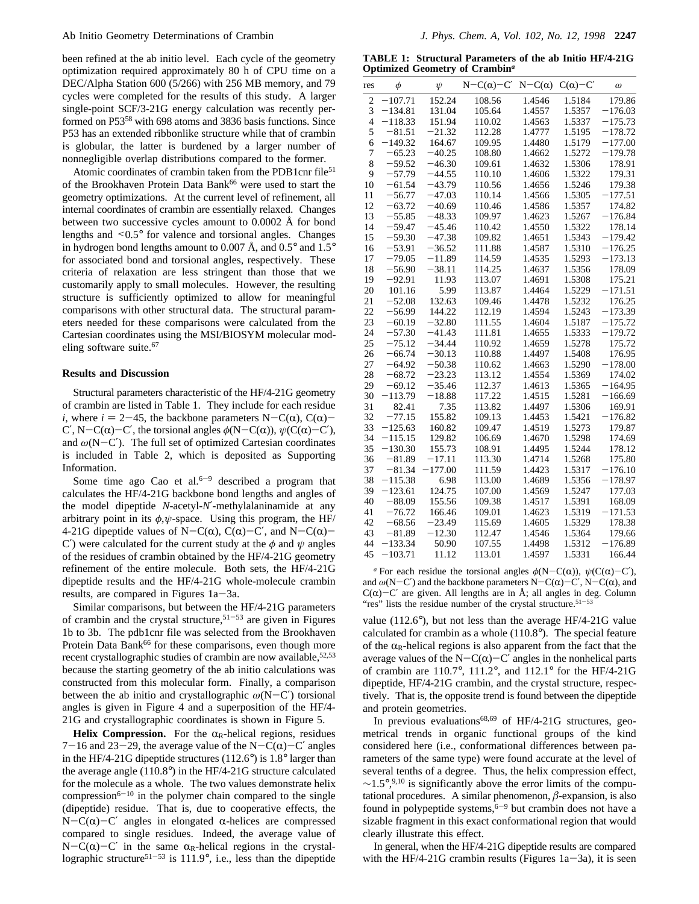been refined at the ab initio level. Each cycle of the geometry optimization required approximately 80 h of CPU time on a DEC/Alpha Station 600 (5/266) with 256 MB memory, and 79 cycles were completed for the results of this study. A larger single-point SCF/3-21G energy calculation was recently performed on P53<sup>58</sup> with 698 atoms and 3836 basis functions. Since P53 has an extended ribbonlike structure while that of crambin is globular, the latter is burdened by a larger number of nonnegligible overlap distributions compared to the former.

Atomic coordinates of crambin taken from the PDB1cnr file<sup>51</sup> of the Brookhaven Protein Data Bank<sup>66</sup> were used to start the geometry optimizations. At the current level of refinement, all internal coordinates of crambin are essentially relaxed. Changes between two successive cycles amount to 0.0002 Å for bond lengths and <0.5° for valence and torsional angles. Changes in hydrogen bond lengths amount to 0.007 Å, and  $0.5^{\circ}$  and  $1.5^{\circ}$ for associated bond and torsional angles, respectively. These criteria of relaxation are less stringent than those that we customarily apply to small molecules. However, the resulting structure is sufficiently optimized to allow for meaningful comparisons with other structural data. The structural parameters needed for these comparisons were calculated from the Cartesian coordinates using the MSI/BIOSYM molecular modeling software suite.<sup>67</sup>

#### **Results and Discussion**

Structural parameters characteristic of the HF/4-21G geometry of crambin are listed in Table 1. They include for each residue *i*, where  $i = 2-45$ , the backbone parameters N-C( $\alpha$ ), C( $\alpha$ )-C', N-C(α)-C', the torsional angles  $\phi$ (N-C(α)),  $\psi$ (C(α)-C'), and  $\omega(N-C')$ . The full set of optimized Cartesian coordinates is included in Table 2, which is deposited as Supporting Information.

Some time ago Cao et al. $6-9$  described a program that calculates the HF/4-21G backbone bond lengths and angles of the model dipeptide *N*-acetyl-*N*′-methylalaninamide at any arbitrary point in its  $\phi, \psi$ -space. Using this program, the HF/ 4-21G dipeptide values of N-C( $\alpha$ ), C( $\alpha$ )-C', and N-C( $\alpha$ )-C') were calculated for the current study at the  $\phi$  and  $\psi$  angles of the residues of crambin obtained by the HF/4-21G geometry refinement of the entire molecule. Both sets, the HF/4-21G dipeptide results and the HF/4-21G whole-molecule crambin results, are compared in Figures 1a-3a.

Similar comparisons, but between the HF/4-21G parameters of crambin and the crystal structure,<sup>51-53</sup> are given in Figures 1b to 3b. The pdb1cnr file was selected from the Brookhaven Protein Data Bank<sup>66</sup> for these comparisons, even though more recent crystallographic studies of crambin are now available,  $52,53$ because the starting geometry of the ab initio calculations was constructed from this molecular form. Finally, a comparison between the ab initio and crystallographic *<sup>ω</sup>*(N-C′) torsional angles is given in Figure 4 and a superposition of the HF/4- 21G and crystallographic coordinates is shown in Figure 5.

**Helix Compression.** For the  $\alpha_R$ -helical regions, residues 7-16 and 23-29, the average value of the N-C( $\alpha$ )-C' angles in the HF/4-21G dipeptide structures (112.6°) is 1.8° larger than the average angle (110.8°) in the HF/4-21G structure calculated for the molecule as a whole. The two values demonstrate helix compression<sup>6-10</sup> in the polymer chain compared to the single (dipeptide) residue. That is, due to cooperative effects, the N-C( $\alpha$ )-C' angles in elongated  $\alpha$ -helices are compressed compared to single residues. Indeed, the average value of N-C( $\alpha$ )-C' in the same  $\alpha_R$ -helical regions in the crystal-lographic structure<sup>51-53</sup> is 111.9°, i.e., less than the dipeptide

**TABLE 1: Structural Parameters of the ab Initio HF/4-21G Optimized Geometry of Crambin***<sup>a</sup>*

| res            | φ         | $\psi$    | $N-C(\alpha)-C'$ | $N-C(\alpha)$ | $C(\alpha)$ -C' | $\omega$  |
|----------------|-----------|-----------|------------------|---------------|-----------------|-----------|
| $\overline{c}$ | $-107.71$ | 152.24    | 108.56           | 1.4546        | 1.5184          | 179.86    |
| 3              | $-134.81$ | 131.04    | 105.64           | 1.4557        | 1.5357          | $-176.03$ |
| 4              | $-118.33$ | 151.94    | 110.02           | 1.4563        | 1.5337          | $-175.73$ |
| 5              | $-81.51$  | $-21.32$  | 112.28           | 1.4777        | 1.5195          | $-178.72$ |
| 6              | $-149.32$ | 164.67    | 109.95           | 1.4480        | 1.5179          | $-177.00$ |
| 7              | $-65.23$  | $-40.25$  | 108.80           | 1.4662        | 1.5272          | $-179.78$ |
| 8              | -59.52    | $-46.30$  | 109.61           | 1.4632        | 1.5306          | 178.91    |
| 9              | $-57.79$  | $-44.55$  | 110.10           | 1.4606        | 1.5322          | 179.31    |
| 10             | $-61.54$  | $-43.79$  | 110.56           | 1.4656        | 1.5246          | 179.38    |
| 11             | $-56.77$  | $-47.03$  | 110.14           | 1.4566        | 1.5305          | $-177.51$ |
| 12             | $-63.72$  | $-40.69$  | 110.46           | 1.4586        | 1.5357          | 174.82    |
| 13             | $-55.85$  | $-48.33$  | 109.97           | 1.4623        | 1.5267          | -176.84   |
| 14             | $-59.47$  | $-45.46$  | 110.42           | 1.4550        | 1.5322          | 178.14    |
| 15             | 59.30     | $-47.38$  | 109.82           | 1.4651        | 1.5343          | $-179.42$ |
| 16             | $-53.91$  | $-36.52$  | 111.88           | 1.4587        | 1.5310          | $-176.25$ |
| 17             | $-79.05$  | $-11.89$  | 114.59           | 1.4535        | 1.5293          | $-173.13$ |
| 18             | $-56.90$  | $-38.11$  | 114.25           | 1.4637        | 1.5356          | 178.09    |
| 19             | $-92.91$  | 11.93     | 113.07           | 1.4691        | 1.5308          | 175.21    |
| 20             | 101.16    | 5.99      | 113.87           | 1.4464        | 1.5229          | $-171.51$ |
| 21             | $-52.08$  | 132.63    | 109.46           | 1.4478        | 1.5232          | 176.25    |
| 22             | $-56.99$  | 144.22    | 112.19           | 1.4594        | 1.5243          | $-173.39$ |
| 23             | $-60.19$  | $-32.80$  | 111.55           | 1.4604        | 1.5187          | $-175.72$ |
| 24             | $-57.30$  | $-41.43$  | 111.81           | 1.4655        | 1.5333          | $-179.72$ |
| 25             | $-75.12$  | $-34.44$  | 110.92           | 1.4659        | 1.5278          | 175.72    |
| 26             | $-66.74$  | $-30.13$  | 110.88           | 1.4497        | 1.5408          | 176.95    |
| 27             | -64.92    | $-50.38$  | 110.62           | 1.4663        | 1.5290          | $-178.00$ |
| 28             | -68.72    | $-23.23$  | 113.12           | 1.4554        | 1.5369          | 174.02    |
| 29             | $-69.12$  | $-35.46$  | 112.37           | 1.4613        | 1.5365          | $-164.95$ |
| 30             | $-113.79$ | $-18.88$  | 117.22           | 1.4515        | 1.5281          | $-166.69$ |
| 31             | 82.41     | 7.35      | 113.82           | 1.4497        | 1.5306          | 169.91    |
| 32             | $-77.15$  | 155.82    | 109.13           | 1.4453        | 1.5421          | $-176.82$ |
| 33             | $-125.63$ | 160.82    | 109.47           | 1.4519        | 1.5273          | 179.87    |
| 34             | $-115.15$ | 129.82    | 106.69           | 1.4670        | 1.5298          | 174.69    |
| 35             | $-130.30$ | 155.73    | 108.91           | 1.4495        | 1.5244          | 178.12    |
| 36             | $-81.89$  | $-17.11$  | 113.30           | 1.4714        | 1.5268          | 175.80    |
| 37             | $-81.34$  | $-177.00$ | 111.59           | 1.4423        | 1.5317          | $-176.10$ |
| 38             | $-115.38$ | 6.98      | 113.00           | 1.4689        | 1.5356          | $-178.97$ |
| 39             | $-123.61$ | 124.75    | 107.00           | 1.4569        | 1.5247          | 177.03    |
| 40             | $-88.09$  | 155.56    | 109.38           | 1.4517        | 1.5391          | 168.09    |
| 41             | $-76.72$  | 166.46    | 109.01           | 1.4623        | 1.5319          | $-171.53$ |
| 42             | $-68.56$  | $-23.49$  | 115.69           | 1.4605        | 1.5329          | 178.38    |
| 43             | $-81.89$  | $-12.30$  | 112.47           | 1.4546        | 1.5364          | 179.66    |
| 44             | $-133.34$ | 50.90     | 107.55           | 1.4498        | 1.5312          | $-176.89$ |
| 45             | $-103.71$ | 11.12     | 113.01           | 1.4597        | 1.5331          | 166.44    |
|                |           |           |                  |               |                 |           |

<sup>*a*</sup> For each residue the torsional angles  $φ(N-C(α)), ψ(C(α)-C'),$ and  $\omega(N-C')$  and the backbone parameters  $N-C(\alpha)-C'$ ,  $N-C(\alpha)$ , and  $C(\alpha)$ -C' are given. All lengths are in Å; all angles in deg. Column "res" lists the residue number of the crystal structure.<sup>51-53</sup>

value (112.6°), but not less than the average HF/4-21G value calculated for crambin as a whole (110.8°). The special feature of the  $\alpha_R$ -helical regions is also apparent from the fact that the average values of the N-C( $\alpha$ )-C' angles in the nonhelical parts of crambin are 110.7°, 111.2°, and 112.1° for the HF/4-21G dipeptide, HF/4-21G crambin, and the crystal structure, respectively. That is, the opposite trend is found between the dipeptide and protein geometries.

In previous evaluations68,69 of HF/4-21G structures, geometrical trends in organic functional groups of the kind considered here (i.e., conformational differences between parameters of the same type) were found accurate at the level of several tenths of a degree. Thus, the helix compression effect,  $\sim$ 1.5°,<sup>9,10</sup> is significantly above the error limits of the computational procedures. A similar phenomenon,  $\beta$ -expansion, is also found in polypeptide systems, $6-9$  but crambin does not have a sizable fragment in this exact conformational region that would clearly illustrate this effect.

In general, when the HF/4-21G dipeptide results are compared with the HF/4-21G crambin results (Figures  $1a-3a$ ), it is seen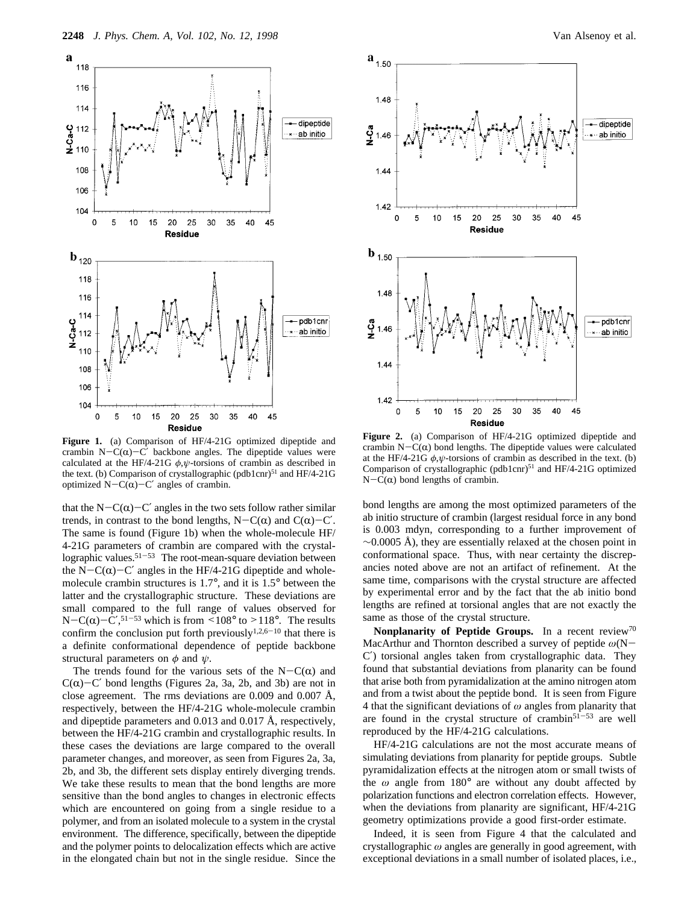

**Figure 1.** (a) Comparison of HF/4-21G optimized dipeptide and crambin N-C( $\alpha$ )-C' backbone angles. The dipeptide values were calculated at the HF/4-21G  $\phi, \psi$ -torsions of crambin as described in the text. (b) Comparison of crystallographic (pdb1cnr)<sup>51</sup> and HF/4-21G optimized N-C( $\alpha$ )-C' angles of crambin.

that the N-C( $\alpha$ )-C' angles in the two sets follow rather similar trends, in contrast to the bond lengths,  $N-C(\alpha)$  and  $C(\alpha)-C'$ . The same is found (Figure 1b) when the whole-molecule HF/ 4-21G parameters of crambin are compared with the crystallographic values.<sup>51-53</sup> The root-mean-square deviation between the N-C( $\alpha$ )-C' angles in the HF/4-21G dipeptide and wholemolecule crambin structures is 1.7°, and it is 1.5° between the latter and the crystallographic structure. These deviations are small compared to the full range of values observed for N-C( $\alpha$ )-C',<sup>51-53</sup> which is from <108° to >118°. The results<br>confirm the conclusion put forth previously<sup>1,2,6-10</sup> that there is confirm the conclusion put forth previously<sup>1,2,6-10</sup> that there is a definite conformational dependence of peptide backbone structural parameters on  $\phi$  and  $\psi$ .

The trends found for the various sets of the  $N-C(\alpha)$  and  $C(\alpha)$ -C' bond lengths (Figures 2a, 3a, 2b, and 3b) are not in close agreement. The rms deviations are 0.009 and 0.007 Å, respectively, between the HF/4-21G whole-molecule crambin and dipeptide parameters and 0.013 and 0.017 Å, respectively, between the HF/4-21G crambin and crystallographic results. In these cases the deviations are large compared to the overall parameter changes, and moreover, as seen from Figures 2a, 3a, 2b, and 3b, the different sets display entirely diverging trends. We take these results to mean that the bond lengths are more sensitive than the bond angles to changes in electronic effects which are encountered on going from a single residue to a polymer, and from an isolated molecule to a system in the crystal environment. The difference, specifically, between the dipeptide and the polymer points to delocalization effects which are active in the elongated chain but not in the single residue. Since the



**Figure 2.** (a) Comparison of HF/4-21G optimized dipeptide and crambin  $N-C(\alpha)$  bond lengths. The dipeptide values were calculated at the HF/4-21G  $\phi$ , $\psi$ -torsions of crambin as described in the text. (b) Comparison of crystallographic (pdb1cnr) $51$  and HF/4-21G optimized  $N-C(\alpha)$  bond lengths of crambin.

bond lengths are among the most optimized parameters of the ab initio structure of crambin (largest residual force in any bond is 0.003 mdyn, corresponding to a further improvement of  $\sim$ 0.0005 Å), they are essentially relaxed at the chosen point in conformational space. Thus, with near certainty the discrepancies noted above are not an artifact of refinement. At the same time, comparisons with the crystal structure are affected by experimental error and by the fact that the ab initio bond lengths are refined at torsional angles that are not exactly the same as those of the crystal structure.

**Nonplanarity of Peptide Groups.** In a recent review<sup>70</sup> MacArthur and Thornton described a survey of peptide *<sup>ω</sup>*(N-C′) torsional angles taken from crystallographic data. They found that substantial deviations from planarity can be found that arise both from pyramidalization at the amino nitrogen atom and from a twist about the peptide bond. It is seen from Figure 4 that the significant deviations of *ω* angles from planarity that are found in the crystal structure of crambin $51-53$  are well reproduced by the HF/4-21G calculations.

HF/4-21G calculations are not the most accurate means of simulating deviations from planarity for peptide groups. Subtle pyramidalization effects at the nitrogen atom or small twists of the *ω* angle from 180° are without any doubt affected by polarization functions and electron correlation effects. However, when the deviations from planarity are significant, HF/4-21G geometry optimizations provide a good first-order estimate.

Indeed, it is seen from Figure 4 that the calculated and crystallographic *ω* angles are generally in good agreement, with exceptional deviations in a small number of isolated places, i.e.,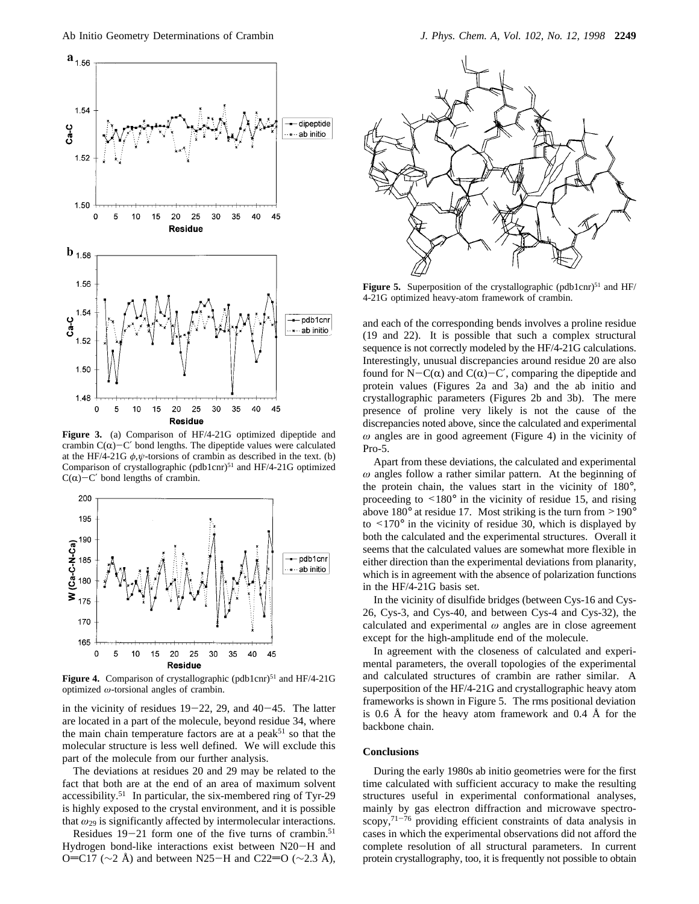

**Figure 3.** (a) Comparison of HF/4-21G optimized dipeptide and crambin  $C(\alpha)$ -C' bond lengths. The dipeptide values were calculated at the HF/4-21G  $\phi$ , $\psi$ -torsions of crambin as described in the text. (b) Comparison of crystallographic (pdb1cnr)<sup>51</sup> and HF/4-21G optimized  $C(\alpha)$ -C' bond lengths of crambin.



Figure 4. Comparison of crystallographic (pdb1cnr)<sup>51</sup> and HF/4-21G optimized *ω*-torsional angles of crambin.

in the vicinity of residues  $19-22$ , 29, and  $40-45$ . The latter are located in a part of the molecule, beyond residue 34, where the main chain temperature factors are at a peak<sup>51</sup> so that the molecular structure is less well defined. We will exclude this part of the molecule from our further analysis.

The deviations at residues 20 and 29 may be related to the fact that both are at the end of an area of maximum solvent accessibility.51 In particular, the six-membered ring of Tyr-29 is highly exposed to the crystal environment, and it is possible that *ω*<sup>29</sup> is significantly affected by intermolecular interactions.

Residues  $19-21$  form one of the five turns of crambin.<sup>51</sup> Hydrogen bond-like interactions exist between N20-H and O=C17 ( $\sim$ 2 Å) and between N25-H and C22=O ( $\sim$ 2.3 Å),



**Figure 5.** Superposition of the crystallographic (pdb1cnr)<sup>51</sup> and  $HF$ / 4-21G optimized heavy-atom framework of crambin.

and each of the corresponding bends involves a proline residue (19 and 22). It is possible that such a complex structural sequence is not correctly modeled by the HF/4-21G calculations. Interestingly, unusual discrepancies around residue 20 are also found for  $N-C(\alpha)$  and  $C(\alpha)-C'$ , comparing the dipeptide and protein values (Figures 2a and 3a) and the ab initio and crystallographic parameters (Figures 2b and 3b). The mere presence of proline very likely is not the cause of the discrepancies noted above, since the calculated and experimental *ω* angles are in good agreement (Figure 4) in the vicinity of Pro-5.

Apart from these deviations, the calculated and experimental *ω* angles follow a rather similar pattern. At the beginning of the protein chain, the values start in the vicinity of 180°, proceeding to  $\leq 180^\circ$  in the vicinity of residue 15, and rising above 180° at residue 17. Most striking is the turn from >190° to  $\leq 170^\circ$  in the vicinity of residue 30, which is displayed by both the calculated and the experimental structures. Overall it seems that the calculated values are somewhat more flexible in either direction than the experimental deviations from planarity, which is in agreement with the absence of polarization functions in the HF/4-21G basis set.

In the vicinity of disulfide bridges (between Cys-16 and Cys-26, Cys-3, and Cys-40, and between Cys-4 and Cys-32), the calculated and experimental *ω* angles are in close agreement except for the high-amplitude end of the molecule.

In agreement with the closeness of calculated and experimental parameters, the overall topologies of the experimental and calculated structures of crambin are rather similar. A superposition of the HF/4-21G and crystallographic heavy atom frameworks is shown in Figure 5. The rms positional deviation is 0.6 Å for the heavy atom framework and 0.4 Å for the backbone chain.

## **Conclusions**

During the early 1980s ab initio geometries were for the first time calculated with sufficient accuracy to make the resulting structures useful in experimental conformational analyses, mainly by gas electron diffraction and microwave spectroscopy,71-<sup>76</sup> providing efficient constraints of data analysis in cases in which the experimental observations did not afford the complete resolution of all structural parameters. In current protein crystallography, too, it is frequently not possible to obtain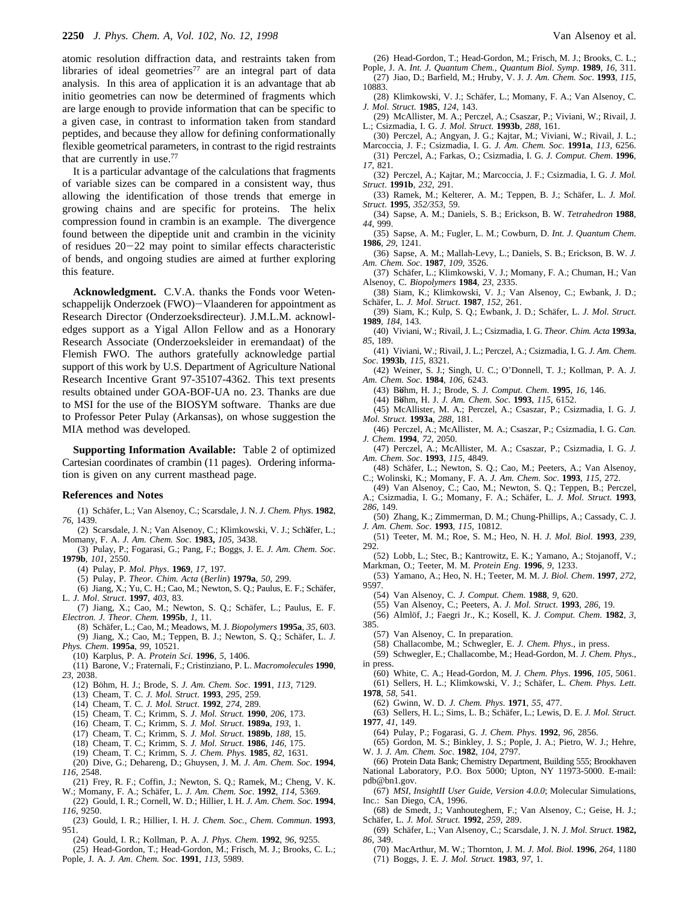atomic resolution diffraction data, and restraints taken from libraries of ideal geometries<sup>77</sup> are an integral part of data analysis. In this area of application it is an advantage that ab initio geometries can now be determined of fragments which are large enough to provide information that can be specific to a given case, in contrast to information taken from standard peptides, and because they allow for defining conformationally flexible geometrical parameters, in contrast to the rigid restraints that are currently in use.77

It is a particular advantage of the calculations that fragments of variable sizes can be compared in a consistent way, thus allowing the identification of those trends that emerge in growing chains and are specific for proteins. The helix compression found in crambin is an example. The divergence found between the dipeptide unit and crambin in the vicinity of residues 20-22 may point to similar effects characteristic of bends, and ongoing studies are aimed at further exploring this feature.

**Acknowledgment.** C.V.A. thanks the Fonds voor Wetenschappelijk Onderzoek (FWO)-Vlaanderen for appointment as Research Director (Onderzoeksdirecteur). J.M.L.M. acknowledges support as a Yigal Allon Fellow and as a Honorary Research Associate (Onderzoeksleider in eremandaat) of the Flemish FWO. The authors gratefully acknowledge partial support of this work by U.S. Department of Agriculture National Research Incentive Grant 97-35107-4362. This text presents results obtained under GOA-BOF-UA no. 23. Thanks are due to MSI for the use of the BIOSYM software. Thanks are due to Professor Peter Pulay (Arkansas), on whose suggestion the MIA method was developed.

**Supporting Information Available:** Table 2 of optimized Cartesian coordinates of crambin (11 pages). Ordering information is given on any current masthead page.

#### **References and Notes**

(1) Scha¨fer, L.; Van Alsenoy, C.; Scarsdale, J. N. *J. Chem. Phys*. **1982**, *76,* 1439.

- (2) Scarsdale, J. N.; Van Alsenoy, C.; Klimkowski, V. J.; Sch**a**1fer, L.; Momany, F. A. *J. Am. Chem. Soc*. **1983,** *105*, 3438.
- (3) Pulay, P.; Fogarasi, G.; Pang, F.; Boggs, J. E. *J. Am. Chem. Soc*. **1979b**, *101*, 2550.
	- (4) Pulay, P. *Mol. Phys*. **1969**, *17*, 197.
	- (5) Pulay, P. *Theor. Chim. Acta* (*Berlin*) **1979a**, *50*, 299.
- (6) Jiang, X.; Yu, C. H.; Cao, M.; Newton, S. Q.; Paulus, E. F.; Schäfer, L. *J. Mol*. *Struct*. **1997**, *403*, 83.
- (7) Jiang, X.; Cao, M.; Newton, S. Q.; Schäfer, L.; Paulus, E. F. *Electron. J. Theor. Chem.* **1995b**, *1*, 11.
- (8) Scha¨fer, L.; Cao, M.; Meadows, M. J. *Biopolymers* **1995a**, *35*, 603. (9) Jiang, X.; Cao, M.; Teppen, B. J.; Newton, S. Q.; Schäfer, L. J.
- *Phys. Chem*. **1995a**, *99*, 10521. (10) Karplus, P. A. *Protein Sci*. **1996**, *5*, 1406.
- (11) Barone, V.; Fraternali, F.; Cristinziano, P. L. *Macromolecules* **1990**, *23*, 2038.
	- (12) Bo¨hm, H. J.; Brode, S. *J. Am. Chem. Soc*. **1991**, *113*, 7129.
	- (13) Cheam, T. C. *J. Mol. Struct*. **1993**, *295*, 259.
	- (14) Cheam, T. C. *J. Mol. Struct*. **1992**, *274*, 289.
	- (15) Cheam, T. C.; Krimm, S. *J*. *Mol. Struct.* **1990**, *206*, 173.
	- (16) Cheam, T. C.; Krimm, S. *J. Mol. Struct*. **1989a**, *193*, 1.
	- (17) Cheam, T. C.; Krimm, S. *J. Mol. Struct*. **1989b**, *188*, 15.
- (18) Cheam, T. C.; Krimm, S. *J. Mol. Struct*. **1986**, *146*, 175.
- (19) Cheam, T. C.; Krimm, S. *J. Chem. Phys*. **1985**, *82*, 1631. (20) Dive, G.; Dehareng, D.; Ghuysen, J. M. *J. Am. Chem. Soc*. **1994**,
- *116*, 2548.
- (21) Frey, R. F.; Coffin, J.; Newton, S. Q.; Ramek, M.; Cheng, V. K. W.; Momany, F. A.; Schäfer, L. *J. Am. Chem. Soc.* **1992**, *114*, 5369.
- (22) Gould, I. R.; Cornell, W. D.; Hillier, I. H. *J. Am. Chem. Soc*. **1994**, *116*, 9250.
- (23) Gould, I. R.; Hillier, I. H. *J. Chem. Soc., Chem. Commun*. **1993**, 951.
- (24) Gould, I. R.; Kollman, P. A. *J. Phys. Chem*. **1992**, *96*, 9255.
- (25) Head-Gordon, T.; Head-Gordon, M.; Frisch, M. J.; Brooks, C. L.; Pople, J. A. *J. Am*. *Chem. Soc*. **1991**, *113*, 5989.

(26) Head-Gordon, T.; Head-Gordon, M.; Frisch, M. J.; Brooks, C. L.; Pople, J. A. *Int. J. Quantum Chem., Quantum Biol. Symp*. **1989**, *16*, 311. (27) Jiao, D.; Barfield, M.; Hruby, V. J. *J. Am. Chem. Soc*. **1993**, *115*, 10883.

- (28) Klimkowski, V. J.; Schäfer, L.; Momany, F. A.; Van Alsenoy, C. *J. Mol. Struct*. **1985**, *124*, 143.
- (29) McAllister, M. A.; Perczel, A.; Csaszar, P.; Viviani, W.; Rivail, J. L.; Csizmadia, I. G. *J. Mol. Struct*. **1993b**, *288*, 161.
- (30) Perczel, A.; Angyan, J. G.; Kajtar, M.; Viviani, W.; Rivail, J. L.; Marcoccia, J. F.; Csizmadia, I. G. *J. Am. Chem. Soc*. **1991a**, *113*, 6256.
- (31) Perczel, A.; Farkas, O.; Csizmadia, I. G. *J. Comput. Chem*. **1996**, *17*, 821.
- (32) Perczel, A.; Kajtar, M.; Marcoccia, J. F.; Csizmadia, I. G. *J. Mol. Struct*. **1991b**, *232*, 291.
- (33) Ramek, M.; Kelterer, A. M.; Teppen, B. J.; Schäfer, L. *J. Mol. Struct*. **1995**, *352/353*, 59.
- (34) Sapse, A. M.; Daniels, S. B.; Erickson, B. W. *Tetrahedron* **1988**, *44*, 999.
- (35) Sapse, A. M.; Fugler, L. M.; Cowburn, D. *Int. J. Quantum Chem*. **1986**, *29*, 1241.
- (36) Sapse, A. M.; Mallah-Levy, L.; Daniels, S. B.; Erickson, B. W. *J. Am. Chem. Soc*. **1987**, *109*, 3526.
- (37) Schäfer, L.; Klimkowski, V. J.; Momany, F. A.; Chuman, H.; Van Alsenoy, C. *Biopolymers* **1984**, *23*, 2335.
- (38) Siam, K.; Klimkowski, V. J.; Van Alsenoy, C.; Ewbank, J. D.; Scha¨fer, L. *J. Mol*. *Struct*. **1987**, *152*, 261.
- (39) Siam, K.; Kulp, S. Q.; Ewbank, J. D.; Schäfer, L. *J. Mol. Struct.* **1989**, *184*, 143.
- (40) Viviani, W.; Rivail, J. L.; Csizmadia, I. G. *Theor. Chim. Acta* **1993a**, *85*, 189.
- (41) Viviani, W.; Rivail, J. L.; Perczel, A.; Csizmadia, I. G. *J. Am. Chem. Soc*. **1993b**, *115*, 8321.
- (42) Weiner, S. J.; Singh, U. C.; O'Donnell, T. J.; Kollman, P. A. *J. Am. Chem. Soc*. **1984**, *106*, 6243.
	- (43) B**o**1hm, H. J.; Brode, S. *J. Comput. Chem*. **<sup>1995</sup>**, *<sup>16</sup>*, 146.
	- (44) B**o**1hm, H. J. *J. Am. Chem. Soc*. **<sup>1993</sup>**, *<sup>115</sup>*, 6152.
- (45) McAllister, M. A.; Perczel, A.; Csaszar, P.; Csizmadia, I. G. *J. Mol. Struct*. **1993a**, *288*, 181.
- (46) Perczel, A.; McAllister, M. A.; Csaszar, P.; Csizmadia, I. G. *Can. J. Chem*. **1994**, *72*, 2050.
- (47) Perczel, A.; McAllister, M. A.; Csaszar, P.; Csizmadia, I. G. *J. Am. Chem*. *Soc*. **1993**, *115*, 4849.
- (48) Schäfer, L.; Newton, S. Q.; Cao, M.; Peeters, A.; Van Alsenov. C.; Wolinski, K.; Momany, F. A. *J. Am. Chem. Soc*. **1993**, *115*, 272.
- (49) Van Alsenoy, C.; Cao, M.; Newton, S. Q.; Teppen, B.; Perczel,
- A.; Csizmadia, I. G.; Momany, F. A.; Scha¨fer, L. *J. Mol. Struct*. **1993**, *286*, 149.
- (50) Zhang, K.; Zimmerman, D. M.; Chung-Phillips, A.; Cassady, C. J. *J. Am. Chem*. *Soc*. **1993**, *115*, 10812.
- (51) Teeter, M. M.; Roe, S. M.; Heo, N. H. *J. Mol. Biol*. **1993**, *239*, 292.
- (52) Lobb, L.; Stec, B.; Kantrowitz, E. K.; Yamano, A.; Stojanoff, V.; Markman, O.; Teeter, M. M. *Protein Eng*. **1996**, *9*, 1233.
- (53) Yamano, A.; Heo, N. H.; Teeter, M. M. *J. Biol. Chem*. **1997**, *272*, 9597.
	- (54) Van Alsenoy, C. *J. Comput. Chem*. **1988**, *9*, 620.
	- (55) Van Alsenoy, C.; Peeters, A. *J. Mol. Struct*. **1993**, *286*, 19.
- (56) Almlo¨f, J.; Faegri Jr., K.; Kosell, K. *J. Comput. Chem*. **1982**, *3*, 385.
	- (57) Van Alsenoy, C. In preparation.
	- (58) Challacombe, M.; Schwegler, E. *J. Chem. Phys*., in press.
- (59) Schwegler, E.; Challacombe, M.; Head-Gordon, M. *J. Chem. Phys*., in press.
- (60) White, C. A.; Head-Gordon, M. *J. Chem. Phys*. **1996**, *105*, 5061. (61) Sellers, H. L.; Klimkowski, V. J.; Schäfer, L. Chem. Phys. Lett. **1978**, *58*, 541.
	- (62) Gwinn, W. D. *J. Chem. Phys*. **1971**, *55*, 477.
- (63) Sellers, H. L.; Sims, L. B.; Schäfer, L.; Lewis, D. E. *J. Mol. Struct.* **1977**, *41*, 149.
	- (64) Pulay, P.; Fogarasi, G. *J. Chem. Phys*. **1992**, *96*, 2856.
- (65) Gordon, M. S.; Binkley, J. S.; Pople, J. A.; Pietro, W. J.; Hehre, W. J. *J. Am. Chem. Soc*. **1982**, *104*, 2797.
- (66) Protein Data Bank; Chemistry Department, Building 555; Brookhaven National Laboratory, P.O. Box 5000; Upton, NY 11973-5000. E-mail: pdb@bn1.gov.
- (67) *MSI, InsightII User Guide, Version 4.0.0*; Molecular Simulations, Inc.: San Diego, CA, 1996.
- (68) de Smedt, J.; Vanhouteghem, F.; Van Alsenoy, C.; Geise, H. J.; Scha¨fer, L. *J. Mol. Struct.* **1992**, *259*, 289.
- (69) Scha¨fer, L.; Van Alsenoy, C.; Scarsdale, J. N. *J*. *Mol. Struct.* **1982,** *86*, 349.
- (70) MacArthur, M. W.; Thornton, J. M. *J. Mol. Biol.* **1996**, *264*, 1180 (71) Boggs, J. E. *J. Mol. Struct.* **1983**, *97*, 1.